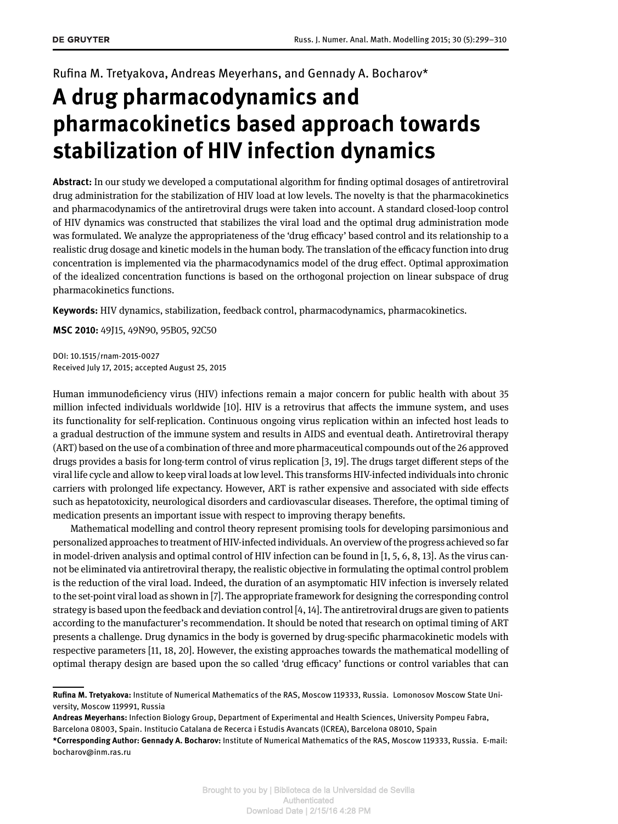#### Rufina M. Tretyakova, Andreas Meyerhans, and Gennady A. Bocharov\*

# **A drug pharmacodynamics and pharmacokinetics based approach towards stabilization of HIV infection dynamics**

**Abstract:** In our study we developed a computational algorithm for finding optimal dosages of antiretroviral drug administration for the stabilization of HIV load at low levels. The novelty is that the pharmacokinetics and pharmacodynamics of the antiretroviral drugs were taken into account. A standard closed-loop control of HIV dynamics was constructed that stabilizes the viral load and the optimal drug administration mode was formulated. We analyze the appropriateness of the 'drug efficacy' based control and its relationship to a realistic drug dosage and kinetic models in the human body. The translation of the efficacy function into drug concentration is implemented via the pharmacodynamics model of the drug effect. Optimal approximation of the idealized concentration functions is based on the orthogonal projection on linear subspace of drug pharmacokinetics functions.

**Keywords:** HIV dynamics, stabilization, feedback control, pharmacodynamics, pharmacokinetics.

**MSC 2010:** 49J15, 49N90, 95B05, 92C50

DOI: 10.1515/rnam-2015-0027 Received July 17, 2015; accepted August 25, 2015

Human immunodeficiency virus (HIV) infections remain a major concern for public health with about 35 million infected individuals worldwide [10]. HIV is a retrovirus that affects the immune system, and uses its functionality for self-replication. Continuous ongoing virus replication within an infected host leads to a gradual destruction of the immune system and results in AIDS and eventual death. Antiretroviral therapy (ART) based on the use of a combination of three and more pharmaceutical compounds out of the 26 approved drugs provides a basis for long-term control of virus replication  $[3, 19]$ . The drugs target different steps of the viral life cycle and allow to keep viral loads at low level. This transforms HIV-infected individuals into chronic carriers with prolonged life expectancy. However, ART is rather expensive and associated with side effects such as hepatotoxicity, neurological disorders and cardiovascular diseases. Therefore, the optimal timing of medication presents an important issue with respect to improving therapy benets.

Mathematical modelling and control theory represent promising tools for developing parsimonious and personalized approaches to treatment of HIV-infected individuals. An overview of the progress achieved so far in model-driven analysis and optimal control of HIV infection can be found in [1, 5, 6, 8, 13]. As the virus cannot be eliminated via antiretroviral therapy, the realistic objective in formulating the optimal control problem is the reduction of the viral load. Indeed, the duration of an asymptomatic HIV infection is inversely related to the set-point viral load as shown in [7]. The appropriate framework for designing the corresponding control strategy is based upon the feedback and deviation control [4, 14]. The antiretroviral drugs are given to patients according to the manufacturer's recommendation. It should be noted that research on optimal timing of ART presents a challenge. Drug dynamics in the body is governed by drug-specific pharmacokinetic models with respective parameters [11, 18, 20]. However, the existing approaches towards the mathematical modelling of optimal therapy design are based upon the so called 'drug efficacy' functions or control variables that can

**Runa M. Tretyakova:** Institute of Numerical Mathematics of the RAS, Moscow 119333, Russia. Lomonosov Moscow State University, Moscow 119991, Russia

**Andreas Meyerhans:** Infection Biology Group, Department of Experimental and Health Sciences, University Pompeu Fabra, Barcelona 08003, Spain. Institucio Catalana de Recerca i Estudis Avancats (ICREA), Barcelona 08010, Spain

**<sup>\*</sup>Corresponding Author: Gennady A. Bocharov:** Institute of Numerical Mathematics of the RAS, Moscow 119333, Russia. E-mail: bocharov@inm.ras.ru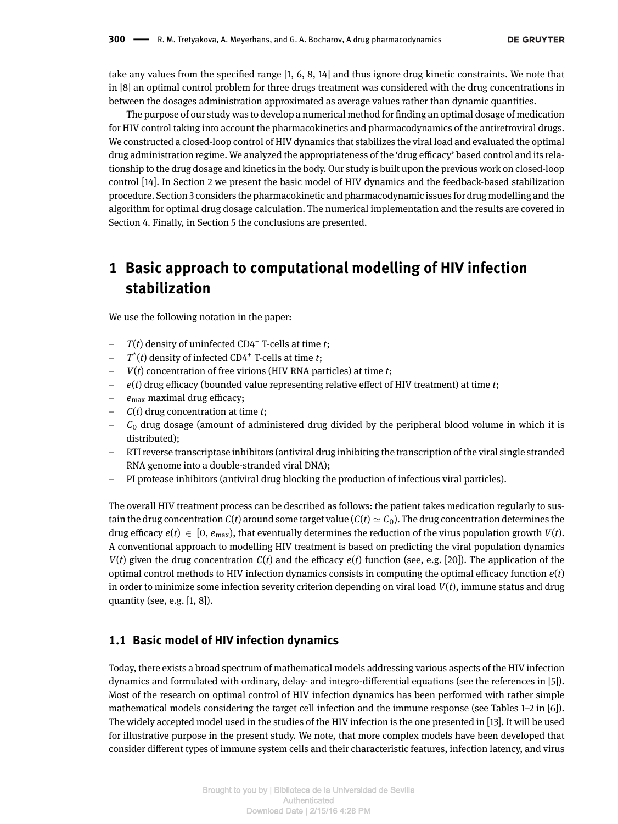take any values from the specified range  $[1, 6, 8, 14]$  and thus ignore drug kinetic constraints. We note that in [8] an optimal control problem for three drugs treatment was considered with the drug concentrations in between the dosages administration approximated as average values rather than dynamic quantities.

The purpose of our study was to develop a numerical method for finding an optimal dosage of medication for HIV control taking into account the pharmacokinetics and pharmacodynamics of the antiretroviral drugs. We constructed a closed-loop control of HIV dynamics that stabilizes the viral load and evaluated the optimal drug administration regime. We analyzed the appropriateness of the 'drug efficacy' based control and its relationship to the drug dosage and kinetics in the body. Our study is built upon the previous work on closed-loop control [14]. In Section 2 we present the basic model of HIV dynamics and the feedback-based stabilization procedure. Section 3 considers the pharmacokinetic and pharmacodynamic issues for drug modelling and the algorithm for optimal drug dosage calculation. The numerical implementation and the results are covered in Section 4. Finally, in Section 5 the conclusions are presented.

# **1 Basic approach to computational modelling of HIV infection stabilization**

We use the following notation in the paper:

- $T(t)$  density of uninfected CD4<sup>+</sup> T-cells at time  $t$ ;
- *T* \* (*t*) density of infected CD4<sup>+</sup> T-cells at time *t*;
- *V*(*t*) concentration of free virions (HIV RNA particles) at time *t*;
- $-e(t)$  drug efficacy (bounded value representing relative effect of HIV treatment) at time  $t$ ;
- e<sub>max</sub> maximal drug efficacy;
- *C*(*t*) drug concentration at time *t*;
- *C*<sup>0</sup> drug dosage (amount of administered drug divided by the peripheral blood volume in which it is distributed);
- RTI reverse transcriptase inhibitors (antiviral drug inhibiting the transcription of the viral single stranded RNA genome into a double-stranded viral DNA);
- PI protease inhibitors (antiviral drug blocking the production of infectious viral particles).

The overall HIV treatment process can be described as follows: the patient takes medication regularly to sustain the drug concentration  $C(t)$  around some target value  $(C(t) \simeq C_0)$ . The drug concentration determines the drug efficacy  $e(t) \in [0, e_{\text{max}})$ , that eventually determines the reduction of the virus population growth  $V(t)$ . A conventional approach to modelling HIV treatment is based on predicting the viral population dynamics  $V(t)$  given the drug concentration  $C(t)$  and the efficacy  $e(t)$  function (see, e.g. [20]). The application of the optimal control methods to HIV infection dynamics consists in computing the optimal efficacy function  $e(t)$ in order to minimize some infection severity criterion depending on viral load *V*(*t*), immune status and drug quantity (see, e.g.  $[1, 8]$ ).

#### **1.1 Basic model of HIV infection dynamics**

Today, there exists a broad spectrum of mathematical models addressing various aspects of the HIV infection dynamics and formulated with ordinary, delay- and integro-differential equations (see the references in  $[5]$ ). Most of the research on optimal control of HIV infection dynamics has been performed with rather simple mathematical models considering the target cell infection and the immune response (see Tables 1–2 in [6]). The widely accepted model used in the studies of the HIV infection is the one presented in [13]. It will be used for illustrative purpose in the present study. We note, that more complex models have been developed that consider different types of immune system cells and their characteristic features, infection latency, and virus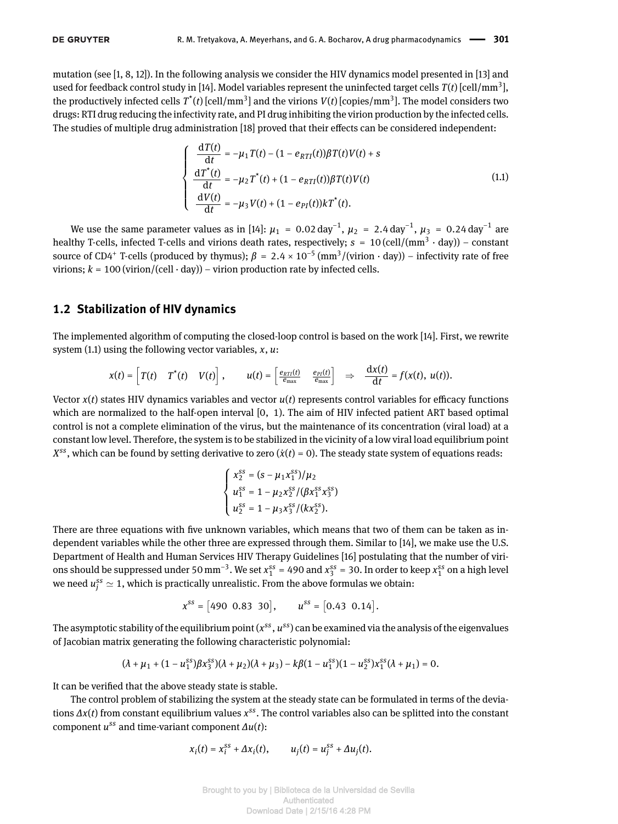mutation (see [1, 8, 12]). In the following analysis we consider the HIV dynamics model presented in [13] and used for feedback control study in [14]. Model variables represent the uninfected target cells  $T(t)$  [cell/mm<sup>3</sup>], the productively infected cells  $T^*(t)$  [cell/mm<sup>3</sup>] and the virions  $V(t)$  [copies/mm<sup>3</sup>]. The model considers two drugs: RTI drug reducing the infectivity rate, and PI drug inhibiting the virion production by the infected cells. The studies of multiple drug administration [18] proved that their effects can be considered independent:

$$
\begin{cases}\n\frac{dT(t)}{dt} = -\mu_1 T(t) - (1 - e_{RTI}(t))\beta T(t)V(t) + s \\
\frac{dT^*(t)}{dt} = -\mu_2 T^*(t) + (1 - e_{RTI}(t))\beta T(t)V(t) \\
\frac{dV(t)}{dt} = -\mu_3 V(t) + (1 - e_{PI}(t))kT^*(t).\n\end{cases}
$$
\n(1.1)

We use the same parameter values as in [14]:  $\mu_1$  = 0.02 day<sup>−1</sup>,  $\mu_2$  = 2.4 day<sup>−1</sup>,  $\mu_3$  = 0.24 day<sup>−1</sup> are healthy T-cells, infected T-cells and virions death rates, respectively;  $s = 10$  (cell/(mm<sup>3</sup>  $\cdot$  day)) – constant source of CD4<sup>+</sup> T-cells (produced by thymus);  $β = 2.4 × 10<sup>-5</sup> (mm<sup>3</sup>/(virion · day)) – infectivity rate of free$ virions;  $k = 100$  (virion/(cell · day)) – virion production rate by infected cells.

#### **1.2 Stabilization of HIV dynamics**

The implemented algorithm of computing the closed-loop control is based on the work [14]. First, we rewrite system (1.1) using the following vector variables, *x*, *u*:

$$
x(t) = \begin{bmatrix} T(t) & T^*(t) & V(t) \end{bmatrix}, \qquad u(t) = \begin{bmatrix} \frac{e_{RTI}(t)}{e_{\text{max}}} & \frac{e_{PI}(t)}{e_{\text{max}}} \end{bmatrix} \Rightarrow \frac{dx(t)}{dt} = f(x(t), u(t)).
$$

Vector  $x(t)$  states HIV dynamics variables and vector  $u(t)$  represents control variables for efficacy functions which are normalized to the half-open interval [0, 1). The aim of HIV infected patient ART based optimal control is not a complete elimination of the virus, but the maintenance of its concentration (viral load) at a constant low level. Therefore, the system is to be stabilized in the vicinity of a low viral load equilibrium point  $X^{ss}$ , which can be found by setting derivative to zero ( $\dot{x}(t) = 0$ ). The steady state system of equations reads:

$$
\begin{cases}\nx_2^{ss} = (s - \mu_1 x_1^{ss})/\mu_2 \\
u_1^{ss} = 1 - \mu_2 x_2^{ss}/(\beta x_1^{ss} x_3^{ss}) \\
u_2^{ss} = 1 - \mu_3 x_3^{ss}/(k x_2^{ss}).\n\end{cases}
$$

There are three equations with five unknown variables, which means that two of them can be taken as independent variables while the other three are expressed through them. Similar to [14], we make use the U.S. Department of Health and Human Services HIV Therapy Guidelines [16] postulating that the number of virions should be suppressed under 50 mm<sup>-3</sup>. We set  $x_1^{ss}$  = 490 and  $x_3^{ss}$  = 30. In order to keep  $x_1^{ss}$  on a high level we need  $u_j^{ss} \simeq 1$ , which is practically unrealistic. From the above formulas we obtain:

$$
x^{ss} = [490 \t0.83 \t30],
$$
  $u^{ss} = [0.43 \t0.14].$ 

The asymptotic stability of the equilibrium point ( $x^{ss}$  ,  $u^{ss}$ ) can be examined via the analysis of the eigenvalues of Jacobian matrix generating the following characteristic polynomial:

$$
(\lambda+\mu_1+(1-u_1^{ss})\beta x_3^{ss})(\lambda+\mu_2)(\lambda+\mu_3)-k\beta(1-u_1^{ss})(1-u_2^{ss})x_1^{ss}(\lambda+\mu_1)=0.
$$

It can be verified that the above steady state is stable.

The control problem of stabilizing the system at the steady state can be formulated in terms of the deviations *∆x*(*t*) from constant equilibrium values *x ss*. The control variables also can be splitted into the constant component *u ss* and time-variant component *∆u*(*t*):

$$
x_i(t) = x_i^{ss} + \Delta x_i(t), \qquad u_j(t) = u_j^{ss} + \Delta u_j(t).
$$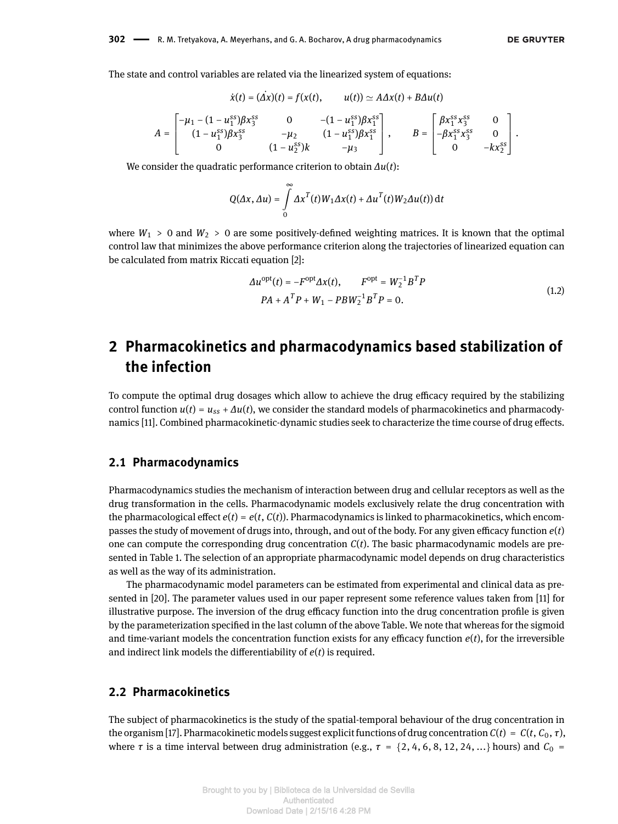The state and control variables are related via the linearized system of equations:

$$
\dot{x}(t) = (\Delta x)(t) = f(x(t), \qquad u(t)) \simeq A\Delta x(t) + B\Delta u(t)
$$
\n
$$
A = \begin{bmatrix}\n-\mu_1 - (1 - u_1^{ss})\beta x_3^{ss} & 0 & -(1 - u_1^{ss})\beta x_3^{ss} \\
(1 - u_1^{ss})\beta x_3^{ss} & -\mu_2 & (1 - u_1^{ss})\beta x_1^{ss}\n\end{bmatrix}, \qquad B = \begin{bmatrix}\n\beta x_1^{ss}x_3^{ss} & 0 \\
-\beta x_1^{ss}x_3^{ss} & 0 \\
0 & -kx_2^{ss}\n\end{bmatrix}.
$$

We consider the quadratic performance criterion to obtain *∆u*(*t*):

$$
Q(\Delta x, \Delta u) = \int\limits_{0}^{\infty} \Delta x^{T}(t) W_{1} \Delta x(t) + \Delta u^{T}(t) W_{2} \Delta u(t) dt
$$

where  $W_1 > 0$  and  $W_2 > 0$  are some positively-defined weighting matrices. It is known that the optimal control law that minimizes the above performance criterion along the trajectories of linearized equation can be calculated from matrix Riccati equation [2]:

$$
\Delta u^{\text{opt}}(t) = -F^{\text{opt}} \Delta x(t), \qquad F^{\text{opt}} = W_2^{-1} B^T P
$$
  
PA + A<sup>T</sup>P + W<sub>1</sub> - PBW<sub>2</sub><sup>-1</sup>B<sup>T</sup>P = 0. (1.2)

# **2 Pharmacokinetics and pharmacodynamics based stabilization of the infection**

To compute the optimal drug dosages which allow to achieve the drug efficacy required by the stabilizing control function  $u(t) = u_{ss} + \Delta u(t)$ , we consider the standard models of pharmacokinetics and pharmacodynamics [11]. Combined pharmacokinetic-dynamic studies seek to characterize the time course of drug effects.

#### **2.1 Pharmacodynamics**

Pharmacodynamics studies the mechanism of interaction between drug and cellular receptors as well as the drug transformation in the cells. Pharmacodynamic models exclusively relate the drug concentration with the pharmacological effect  $e(t) = e(t, C(t))$ . Pharmacodynamics is linked to pharmacokinetics, which encompasses the study of movement of drugs into, through, and out of the body. For any given efficacy function  $e(t)$ one can compute the corresponding drug concentration  $C(t)$ . The basic pharmacodynamic models are presented in Table 1. The selection of an appropriate pharmacodynamic model depends on drug characteristics as well as the way of its administration.

The pharmacodynamic model parameters can be estimated from experimental and clinical data as presented in [20]. The parameter values used in our paper represent some reference values taken from [11] for illustrative purpose. The inversion of the drug efficacy function into the drug concentration profile is given by the parameterization specified in the last column of the above Table. We note that whereas for the sigmoid and time-variant models the concentration function exists for any efficacy function  $e(t)$ , for the irreversible and indirect link models the differentiability of  $e(t)$  is required.

#### **2.2 Pharmacokinetics**

The subject of pharmacokinetics is the study of the spatial-temporal behaviour of the drug concentration in the organism [17]. Pharmacokinetic models suggest explicit functions of drug concentration  $C(t) = C(t, C_0, \tau)$ , where *τ* is a time interval between drug administration (e.g.,  $\tau = \{2, 4, 6, 8, 12, 24, ...\}$  hours) and  $C_0$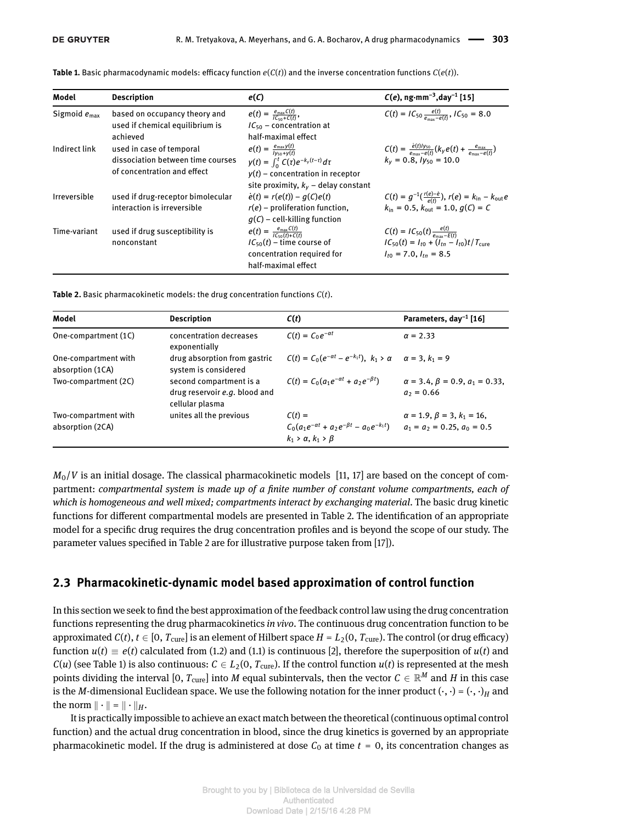| Model                    | <b>Description</b>                                                                           | e(C)                                                                                                                                                                                        | $C(e)$ , ng·mm <sup>-3</sup> , day <sup>-1</sup> [15]                                                                                         |
|--------------------------|----------------------------------------------------------------------------------------------|---------------------------------------------------------------------------------------------------------------------------------------------------------------------------------------------|-----------------------------------------------------------------------------------------------------------------------------------------------|
| Sigmoid $e_{\text{max}}$ | based on occupancy theory and<br>used if chemical equilibrium is<br>achieved                 | $e(t) = \frac{e_{\text{max}} C(t)}{IC_{\text{tot}} C(t)},$<br>$IC_{50}$ – concentration at<br>half-maximal effect                                                                           | $C(t) = IC_{50} \frac{e(t)}{e^{(0.50)}}$ , $IC_{50} = 8.0$                                                                                    |
| Indirect link            | used in case of temporal<br>dissociation between time courses<br>of concentration and effect | $e(t) = \frac{e_{\text{max}}y(t)}{l_{\text{Vco}}+v(t)}$<br>$y(t) = \int_0^t C(\tau) e^{-k_y(t-\tau)} d\tau$<br>$v(t)$ – concentration in receptor<br>site proximity, $k_v$ – delay constant | $C(t) = \frac{\dot{e}(t)/y_{50}}{e_{max}-e(t)}(k_y e(t) + \frac{e_{max}}{e_{max}-e(t)})$<br>$k_v = 0.8, ly_{50} = 10.0$                       |
| Irreversible             | used if drug-receptor bimolecular<br>interaction is irreversible                             | $\dot{e}(t) = r(e(t)) - q(C)e(t)$<br>$r(e)$ – proliferation function,<br>$q(C)$ – cell-killing function                                                                                     | $C(t) = g^{-1}(\frac{r(e)-e}{e(t)})$ , $r(e) = k_{in} - k_{out}e$<br>$k_{\text{in}} = 0.5$ , $k_{\text{out}} = 1.0$ , $q(C) = C$              |
| Time-variant             | used if drug susceptibility is<br>nonconstant                                                | $e(t) = \frac{e_{\text{max}} C(t)}{t C_{\text{eq}}(t) + C(t)}$<br>$IC_{50}(t)$ – time course of<br>concentration required for<br>half-maximal effect                                        | $C(t) = IC_{50}(t) \frac{e(t)}{e_{\text{max}}-E(t)}$<br>$IC_{50}(t) = I_{t0} + (I_{tn} - I_{t0})t/T_{cure}$<br>$I_{t0}$ = 7.0, $I_{tn}$ = 8.5 |

**Table 1.** Basic pharmacodynamic models: efficacy function  $e(C(t))$  and the inverse concentration functions  $C(e(t))$ .

**Table 2.** Basic pharmacokinetic models: the drug concentration functions *C*(*t*).

| <b>Description</b>                                                          | C(t)                                                                                                | Parameters, $day^{-1}$ [16]                                              |
|-----------------------------------------------------------------------------|-----------------------------------------------------------------------------------------------------|--------------------------------------------------------------------------|
| concentration decreases<br>exponentially                                    | $C(t) = C_0 e^{-\alpha t}$                                                                          | $\alpha = 2.33$                                                          |
| drug absorption from gastric<br>system is considered                        | $C(t) = C_0(e^{-\alpha t} - e^{-k_1 t}), k_1 > \alpha \quad \alpha = 3, k_1 = 9$                    |                                                                          |
| second compartment is a<br>drug reservoir e.g. blood and<br>cellular plasma | $C(t) = C_0(a_1e^{-\alpha t} + a_2e^{-\beta t})$                                                    | $\alpha = 3.4, \beta = 0.9, a_1 = 0.33,$<br>$a_2 = 0.66$                 |
| unites all the previous                                                     | $C(t) =$<br>$C_0(a_1e^{-\alpha t} + a_2e^{-\beta t} - a_0e^{-k_1t})$<br>$k_1 > \alpha, k_1 > \beta$ | $\alpha = 1.9, \beta = 3, k_1 = 16,$<br>$a_1 = a_2 = 0.25$ , $a_0 = 0.5$ |
|                                                                             |                                                                                                     |                                                                          |

 $M<sub>0</sub>/V$  is an initial dosage. The classical pharmacokinetic models [11, 17] are based on the concept of compartment: *compartmental system is made up of a nite number of constant volume compartments, each of which is homogeneous and well mixed; compartments interact by exchanging material*. The basic drug kinetic functions for different compartmental models are presented in Table 2. The identification of an appropriate model for a specific drug requires the drug concentration profiles and is beyond the scope of our study. The parameter values specified in Table 2 are for illustrative purpose taken from [17]).

#### **2.3 Pharmacokinetic-dynamic model based approximation of control function**

In this section we seek to find the best approximation of the feedback control law using the drug concentration functions representing the drug pharmacokinetics *in vivo*. The continuous drug concentration function to be approximated  $C(t)$ ,  $t \in [0, T_{\text{cure}}]$  is an element of Hilbert space  $H = L_2(0, T_{\text{cure}})$ . The control (or drug efficacy) function  $u(t) \equiv e(t)$  calculated from (1.2) and (1.1) is continuous [2], therefore the superposition of  $u(t)$  and *C*(*u*) (see Table 1) is also continuous:  $C \in L_2(0, T_{\text{cure}})$ . If the control function *u*(*t*) is represented at the mesh points dividing the interval [0,  $T_{\text{cure}}$ ] into *M* equal subintervals, then the vector  $C \in \mathbb{R}^M$  and *H* in this case is the *M*-dimensional Euclidean space. We use the following notation for the inner product  $(\cdot, \cdot) = (\cdot, \cdot)_H$  and the norm  $\|\cdot\| = \|\cdot\|_H$ .

It is practically impossible to achieve an exact match between the theoretical (continuous optimal control function) and the actual drug concentration in blood, since the drug kinetics is governed by an appropriate pharmacokinetic model. If the drug is administered at dose  $C_0$  at time  $t = 0$ , its concentration changes as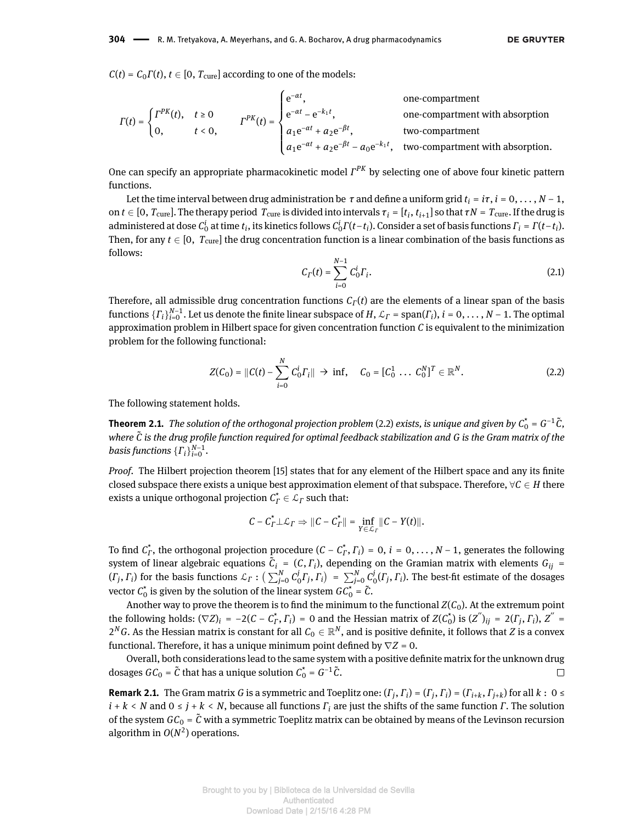$$
\Gamma(t) = \begin{cases}\n\Gamma^{PK}(t), & t \ge 0 \\
0, & t < 0,\n\end{cases}\n\qquad\n\Gamma^{PK}(t) = \begin{cases}\ne^{-at}, & \text{one-compartment} \\
e^{-at} - e^{-k_1 t}, & \text{one-compartment with absorption} \\
a_1 e^{-at} + a_2 e^{-\beta t}, & \text{two-compartment} \\
a_1 e^{-at} + a_2 e^{-\beta t} - a_0 e^{-k_1 t}, & \text{two-compartment with absorption.} \n\end{cases}
$$

One can specify an appropriate pharmacokinetic model *Γ PK* by selecting one of above four kinetic pattern functions.

Let the time interval between drug administration be  $\tau$  and define a uniform grid  $t_i = i\tau$ ,  $i = 0, \ldots, N - 1$ , on  $t \in [0, T_{\text{cure}}].$  The therapy period  $T_{\text{cure}}$  is divided into intervals  $\tau_i$  =  $[t_i, t_{i+1}]$  so that  $\tau N$  =  $T_{\text{cure}}.$  If the drug is administered at dose  $C_0^i$  at time  $t_i$ , its kinetics follows  $C_0^i \Gamma(t-t_i)$ . Consider a set of basis functions  $\Gamma_i=\Gamma(t-t_i)$ . Then, for any  $t \in [0, T_{\text{cure}}]$  the drug concentration function is a linear combination of the basis functions as follows:

$$
C_{\Gamma}(t) = \sum_{i=0}^{N-1} C_0^i \Gamma_i.
$$
 (2.1)

Therefore, all admissible drug concentration functions *C<sup>Γ</sup>* (*t*) are the elements of a linear span of the basis functions  $\{\Gamma_i\}_{i=0}^{N-1}$ . Let us denote the finite linear subspace of  $H$ ,  $\mathcal{L}_\Gamma$  = span( $\Gamma_i$ ),  $i=0,\ldots,N-1.$  The optimal approximation problem in Hilbert space for given concentration function *C* is equivalent to the minimization problem for the following functional:

$$
Z(C_0) = ||C(t) - \sum_{i=0}^{N} C_0^i \Gamma_i|| \to \inf, \quad C_0 = [C_0^1 \dots C_0^N]^T \in \mathbb{R}^N.
$$
 (2.2)

The following statement holds.

**Theorem 2.1.** The solution of the orthogonal projection problem (2.2) exists, is unique and given by  $C_0^*$  =  $G^{-1}\tilde{C}$ , *where C*˜ *is the drug prole function required for optimal feedback stabilization and G is the Gram matrix of the*  $b$ asis functions  $\{\Gamma_i\}_{i=0}^{N-1}$ .

*Proof.* The Hilbert projection theorem [15] states that for any element of the Hilbert space and any its finite closed subspace there exists a unique best approximation element of that subspace. Therefore, ∀*C* ∈ *H* there exists a unique orthogonal projection  $\mathcal{C}^\star_\varGamma \in \mathcal{L}_\varGamma$  such that:

$$
C - C_{\Gamma}^{\star} \perp \mathcal{L}_{\Gamma} \Rightarrow ||C - C_{\Gamma}^{\star}|| = \inf_{Y \in \mathcal{L}_{\Gamma}} ||C - Y(t)||.
$$

To find  $C^*_\Gamma$ , the orthogonal projection procedure  $(C - C^*_\Gamma, \Gamma_i) = 0$ ,  $i = 0, \ldots, N-1$ , generates the following system of linear algebraic equations  $\tilde{\mathcal{C}}_i$  =  $(\mathcal{C},\mathit{\Gamma}_i)$ , depending on the Gramian matrix with elements  $G_{ij}$  =  $(\Gamma_j,\Gamma_i)$  for the basis functions  $\mathcal{L}_{\Gamma}:(\sum_{j=0}^N C^j_0\Gamma_j,\Gamma_i)\;=\;\sum_{j=0}^N C^j_0(\Gamma_j,\Gamma_i).$  The best-fit estimate of the dosages vector  $C_0^*$  is given by the solution of the linear system  $GC_0^* = \tilde{C}$ .

Another way to prove the theorem is to find the minimum to the functional  $Z(\mathcal{C}_0)$ . At the extremum point the following holds:  $(\nabla Z)_i = -2(C - C^*_i, \Gamma_i) = 0$  and the Hessian matrix of  $Z(C^*_0)$  is  $(Z'')_{ij} = 2(\Gamma_j, \Gamma_i)$ ,  $Z'' =$  $2^N G$ . As the Hessian matrix is constant for all  $C_0\in\mathbb{R}^N,$  and is positive definite, it follows that  $Z$  is a convex functional. Therefore, it has a unique minimum point defined by  $\nabla Z = 0$ .

Overall, both considerations lead to the same system with a positive definite matrix for the unknown drug dosages  $GC_0 = \tilde{C}$  that has a unique solution  $C_0^* = G^{-1}\tilde{C}$ .  $\Box$ 

**Remark 2.1.** The Gram matrix G is a symmetric and Toeplitz one:  $(\Gamma_j, \Gamma_i) = (\Gamma_j, \Gamma_i) = (\Gamma_{i+k}, \Gamma_{j+k})$  for all  $k: 0 \leq$  $i + k < N$  and  $0 \leq j + k < N$ , because all functions  $\Gamma_i$  are just the shifts of the same function  $\Gamma$ . The solution of the system  $GC_0 = \tilde{C}$  with a symmetric Toeplitz matrix can be obtained by means of the Levinson recursion algorithm in  $O(N^2)$  operations.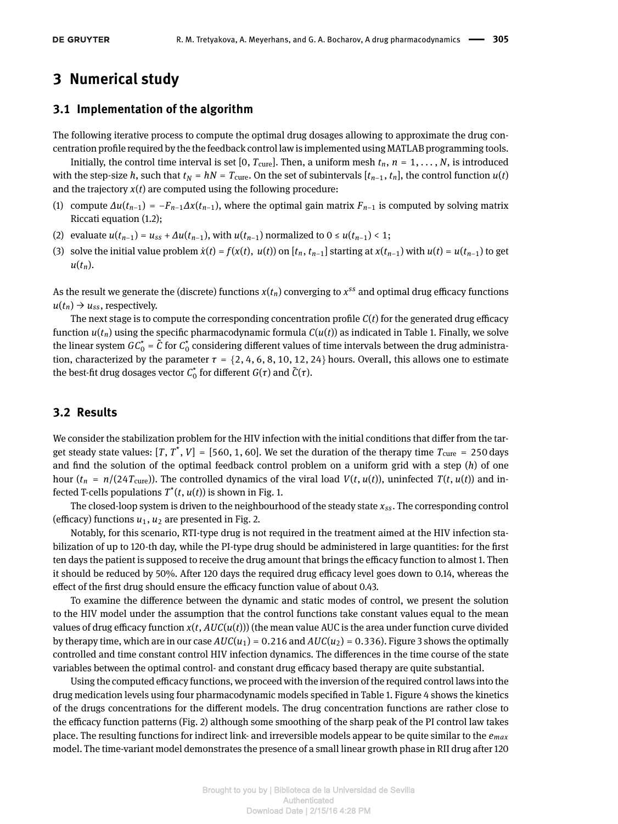### **3 Numerical study**

#### **3.1 Implementation of the algorithm**

The following iterative process to compute the optimal drug dosages allowing to approximate the drug concentration prole required by the the feedback control law is implemented using MATLAB programming tools.

Initially, the control time interval is set [0,  $T_{\text{cure}}$ ]. Then, a uniform mesh  $t_n$ ,  $n = 1, \ldots, N$ , is introduced with the step-size *h*, such that  $t_N = hN = T_{\text{cure}}$ . On the set of subintervals  $[t_{n-1}, t_n]$ , the control function  $u(t)$ and the trajectory  $x(t)$  are computed using the following procedure:

- (1) compute  $\Delta u(t_{n-1}) = -F_{n-1} \Delta x(t_{n-1})$ , where the optimal gain matrix  $F_{n-1}$  is computed by solving matrix Riccati equation (1.2);
- (2) evaluate  $u(t_{n-1}) = u_{ss} + \Delta u(t_{n-1})$ , with  $u(t_{n-1})$  normalized to  $0 \le u(t_{n-1}) < 1$ ;
- (3) solve the initial value problem  $\dot{x}(t) = f(x(t), u(t))$  on  $[t_n, t_{n-1}]$  starting at  $x(t_{n-1})$  with  $u(t) = u(t_{n-1})$  to get  $u(t_n)$ .

As the result we generate the (discrete) functions  $x(t_n)$  converging to  $x^{ss}$  and optimal drug efficacy functions  $u(t_n) \rightarrow u_{ss}$ , respectively.

The next stage is to compute the corresponding concentration profile  $C(t)$  for the generated drug efficacy function  $u(t_n)$  using the specific pharmacodynamic formula  $C(u(t))$  as indicated in Table 1. Finally, we solve the linear system  $GC_0^* = \tilde{C}$  for  $C_0^*$  considering different values of time intervals between the drug administration, characterized by the parameter  $\tau = \{2, 4, 6, 8, 10, 12, 24\}$  hours. Overall, this allows one to estimate the best-fit drug dosages vector  $C_0^*$  for different  $G(\tau)$  and  $\tilde{C}(\tau)$ .

#### **3.2 Results**

We consider the stabilization problem for the HIV infection with the initial conditions that differ from the target steady state values:  $[T, T^*, V] = [560, 1, 60]$ . We set the duration of the therapy time  $T_{\text{cure}} = 250$  days and find the solution of the optimal feedback control problem on a uniform grid with a step (*h*) of one hour  $(t_n = n/(24T_{\text{cure}}))$ . The controlled dynamics of the viral load  $V(t, u(t))$ , uninfected  $T(t, u(t))$  and infected T-cells populations  $T^*(t, u(t))$  is shown in Fig. 1.

The closed-loop system is driven to the neighbourhood of the steady state *xss*. The corresponding control (efficacy) functions  $u_1$ ,  $u_2$  are presented in Fig. 2.

Notably, for this scenario, RTI-type drug is not required in the treatment aimed at the HIV infection stabilization of up to 120-th day, while the PI-type drug should be administered in large quantities: for the first ten days the patient is supposed to receive the drug amount that brings the efficacy function to almost 1. Then it should be reduced by 50%. After 120 days the required drug efficacy level goes down to 0.14, whereas the effect of the first drug should ensure the efficacy function value of about 0.43.

To examine the difference between the dynamic and static modes of control, we present the solution to the HIV model under the assumption that the control functions take constant values equal to the mean values of drug efficacy function  $x(t, AUC(u(t)))$  (the mean value AUC is the area under function curve divided by therapy time, which are in our case  $AUC(u_1) = 0.216$  and  $AUC(u_2) = 0.336$ ). Figure 3 shows the optimally controlled and time constant control HIV infection dynamics. The differences in the time course of the state variables between the optimal control- and constant drug efficacy based therapy are quite substantial.

Using the computed efficacy functions, we proceed with the inversion of the required control laws into the drug medication levels using four pharmacodynamic models specified in Table 1. Figure 4 shows the kinetics of the drugs concentrations for the different models. The drug concentration functions are rather close to the efficacy function patterns (Fig. 2) although some smoothing of the sharp peak of the PI control law takes place. The resulting functions for indirect link- and irreversible models appear to be quite similar to the *emax* model. The time-variant model demonstrates the presence of a small linear growth phase in RII drug after 120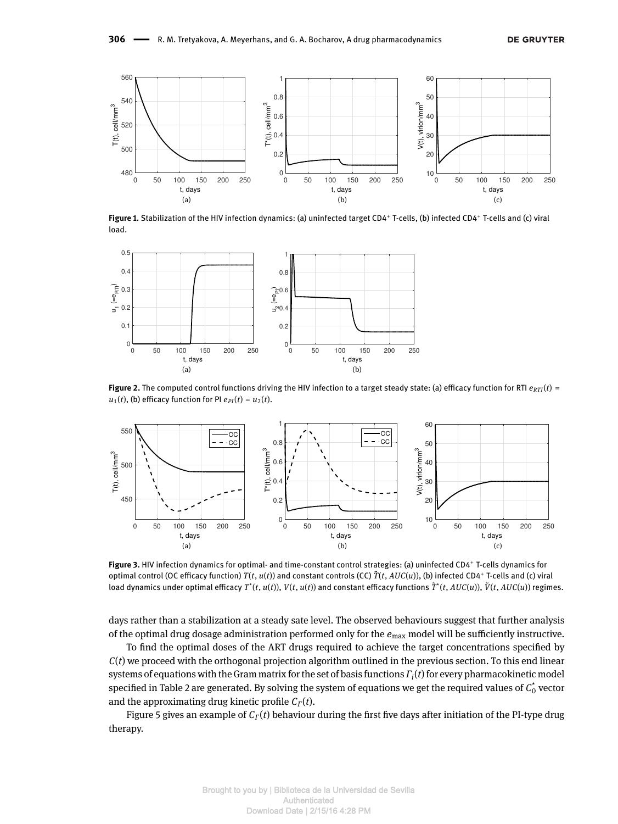

Figure 1. Stabilization of the HIV infection dynamics: (a) uninfected target CD4<sup>+</sup> T-cells, (b) infected CD4<sup>+</sup> T-cells and (c) viral load.



**Figure 2.** The computed control functions driving the HIV infection to a target steady state: (a) efficacy function for RTI  $e_{RTI}(t)$  $u_1(t)$ , (b) efficacy function for PI  $e_{PI}(t) = u_2(t)$ .



**Figure 3.** HIV infection dynamics for optimal- and time-constant control strategies: (a) uninfected CD4<sup>+</sup> T-cells dynamics for optimal control (OC efficacy function)  $T(t, u(t))$  and constant controls (CC)  $\tilde{T}(t, AUC(u))$ , (b) infected CD4<sup>+</sup> T-cells and (c) viral load dynamics under optimal efficacy  $T^*(t, u(t))$ ,  $V(t, u(t))$  and constant efficacy functions  $\tilde{T}^*(t, AUC(u))$ ,  $\tilde{V}(t, AUC(u))$  regimes.

days rather than a stabilization at a steady sate level. The observed behaviours suggest that further analysis of the optimal drug dosage administration performed only for the  $e_{\text{max}}$  model will be sufficiently instructive.

To find the optimal doses of the ART drugs required to achieve the target concentrations specified by  $C(t)$  we proceed with the orthogonal projection algorithm outlined in the previous section. To this end linear systems of equations with the Gram matrix for the set of basis functions *Γ<sup>i</sup>* (*t*)for every pharmacokinetic model specified in Table 2 are generated. By solving the system of equations we get the required values of  $\mathcal{C}_0^*$  vector and the approximating drug kinetic profile  $C<sub>Γ</sub>(t)$ .

Figure 5 gives an example of *C<sub>Γ</sub>*(*t*) behaviour during the first five days after initiation of the PI-type drug therapy.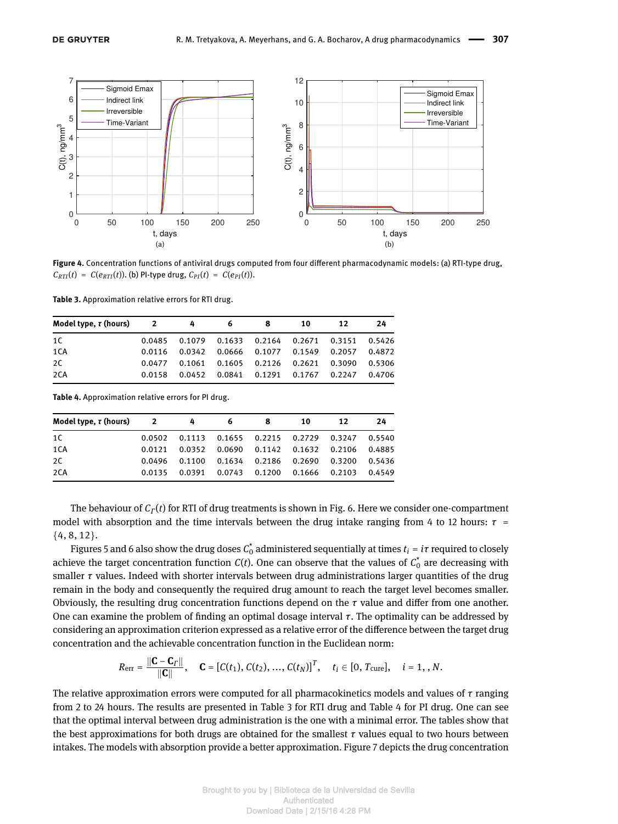

Figure 4. Concentration functions of antiviral drugs computed from four different pharmacodynamic models: (a) RTI-type drug,  $C_{RTI}(t) = C(e_{RTI}(t))$ . (b) PI-type drug,  $C_{PI}(t) = C(e_{PI}(t))$ .

| Table 3. Approximation relative errors for RTI drug. |  |  |
|------------------------------------------------------|--|--|
|------------------------------------------------------|--|--|

| Model type, $\tau$ (hours) | $\sim$ 2 | 4 | 6 | 8                                                | 10 | 12 | 24 |
|----------------------------|----------|---|---|--------------------------------------------------|----|----|----|
| 1C                         |          |   |   | 0.0485 0.1079 0.1633 0.2164 0.2671 0.3151 0.5426 |    |    |    |
| 1CA                        |          |   |   | 0.0116 0.0342 0.0666 0.1077 0.1549 0.2057 0.4872 |    |    |    |
| 2C                         |          |   |   | 0.0477 0.1061 0.1605 0.2126 0.2621 0.3090 0.5306 |    |    |    |
| 2CA                        | 0.0158   |   |   | 0.0452 0.0841 0.1291 0.1767 0.2247 0.4706        |    |    |    |

**Table 4.** Approximation relative errors for PI drug.

| Model type, $\tau$ (hours) 2 | 4 | 6                                                      | 8 | 10 | 12 | 24 |
|------------------------------|---|--------------------------------------------------------|---|----|----|----|
| 1C                           |   | 0.0502 0.1113 0.1655 0.2215 0.2729 0.3247 0.5540       |   |    |    |    |
| 1CA                          |   | 0.0121  0.0352  0.0690  0.1142  0.1632  0.2106  0.4885 |   |    |    |    |
| 2C                           |   | 0.0496  0.1100  0.1634  0.2186  0.2690  0.3200  0.5436 |   |    |    |    |
| 2CA                          |   | 0.0135 0.0391 0.0743 0.1200 0.1666 0.2103 0.4549       |   |    |    |    |

The behaviour of *C<sup>Γ</sup>* (*t*) for RTI of drug treatments is shown in Fig. 6. Here we consider one-compartment model with absorption and the time intervals between the drug intake ranging from 4 to 12 hours: *τ* = {4, 8, 12}.

Figures 5 and 6 also show the drug doses  $C_0^\star$  administered sequentially at times  $t_i$  =  $i\tau$  required to closely achieve the target concentration function  $C(t)$ . One can observe that the values of  $C_0^*$  are decreasing with smaller *τ* values. Indeed with shorter intervals between drug administrations larger quantities of the drug remain in the body and consequently the required drug amount to reach the target level becomes smaller. Obviously, the resulting drug concentration functions depend on the  $\tau$  value and differ from one another. One can examine the problem of nding an optimal dosage interval *τ*. The optimality can be addressed by considering an approximation criterion expressed as a relative error of the difference between the target drug concentration and the achievable concentration function in the Euclidean norm:

$$
R_{\text{err}} = \frac{\|\mathbf{C} - \mathbf{C}_{\Gamma}\|}{\|\mathbf{C}\|}, \quad \mathbf{C} = [C(t_1), C(t_2), ..., C(t_N)]^T, \quad t_i \in [0, T_{\text{cure}}], \quad i = 1, N.
$$

The relative approximation errors were computed for all pharmacokinetics models and values of *τ* ranging from 2 to 24 hours. The results are presented in Table 3 for RTI drug and Table 4 for PI drug. One can see that the optimal interval between drug administration is the one with a minimal error. The tables show that the best approximations for both drugs are obtained for the smallest *τ* values equal to two hours between intakes. The models with absorption provide a better approximation. Figure 7 depicts the drug concentration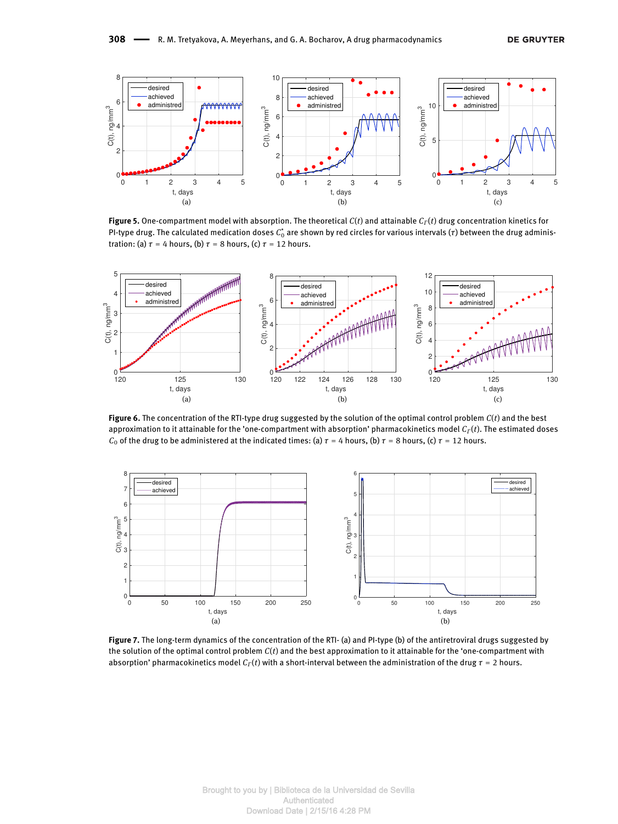

**Figure 5.** One-compartment model with absorption. The theoretical *C*(*t*) and attainable *C<sup>Γ</sup>* (*t*) drug concentration kinetics for PI-type drug. The calculated medication doses  $C_0^\star$  are shown by red circles for various intervals (τ) between the drug administration: (a)  $\tau$  = 4 hours, (b)  $\tau$  = 8 hours, (c)  $\tau$  = 12 hours.



**Figure 6.** The concentration of the RTI-type drug suggested by the solution of the optimal control problem *C*(*t*) and the best approximation to it attainable for the 'one-compartment with absorption' pharmacokinetics model *C<sup>Γ</sup>* (*t*). The estimated doses *C*<sub>0</sub> of the drug to be administered at the indicated times: (a)  $τ = 4$  hours, (b)  $τ = 8$  hours, (c)  $τ = 12$  hours.



**Figure 7.** The long-term dynamics of the concentration of the RTI- (a) and PI-type (b) of the antiretroviral drugs suggested by the solution of the optimal control problem *C*(*t*) and the best approximation to it attainable for the 'one-compartment with absorption' pharmacokinetics model *C<sup>Γ</sup>* (*t*) with a short-interval between the administration of the drug *τ* = 2 hours.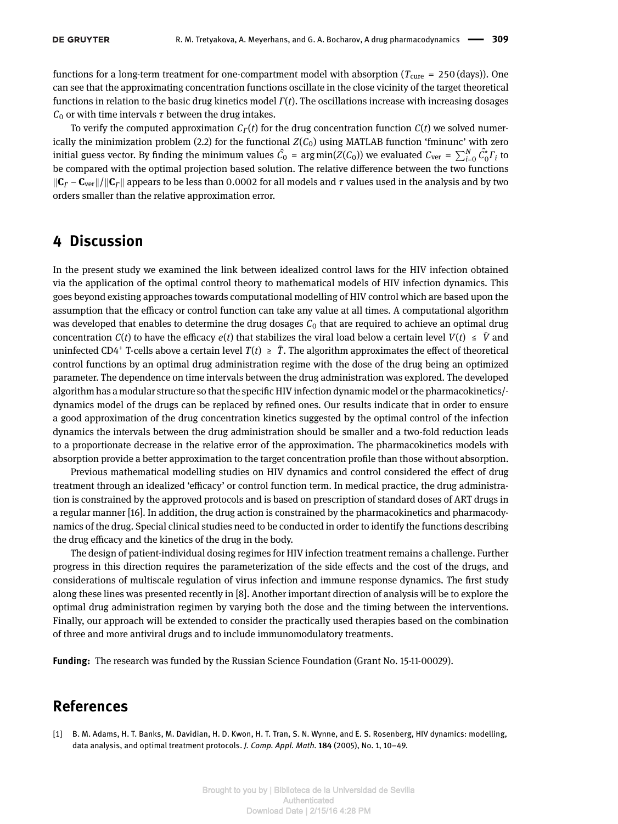functions for a long-term treatment for one-compartment model with absorption ( $T_{\text{cure}}$  = 250 (days)). One can see that the approximating concentration functions oscillate in the close vicinity of the target theoretical functions in relation to the basic drug kinetics model *Γ*(*t*). The oscillations increase with increasing dosages  $C_0$  or with time intervals *τ* between the drug intakes.

To verify the computed approximation *C<sup>Γ</sup>* (*t*) for the drug concentration function *C*(*t*) we solved numerically the minimization problem (2.2) for the functional  $Z(C_0)$  using MATLAB function 'fminunc' with zero initial guess vector. By finding the minimum values  $\hat{C_0}$  =  $\arg\min(Z(C_0))$  we evaluated  $C_{\text{ver}} = \sum_{i=0}^N \hat{C_0}^*\Gamma_i$  to be compared with the optimal projection based solution. The relative difference between the two functions k**C***<sup>Γ</sup>* − **C**verk/k**C***Γ*k appears to be less than 0.0002 for all models and *τ* values used in the analysis and by two orders smaller than the relative approximation error.

### **4 Discussion**

In the present study we examined the link between idealized control laws for the HIV infection obtained via the application of the optimal control theory to mathematical models of HIV infection dynamics. This goes beyond existing approaches towards computational modelling of HIV control which are based upon the assumption that the efficacy or control function can take any value at all times. A computational algorithm was developed that enables to determine the drug dosages  $C_0$  that are required to achieve an optimal drug concentration  $C(t)$  to have the efficacy  $e(t)$  that stabilizes the viral load below a certain level  $V(t) \leq \bar{V}$  and uninfected CD4<sup>+</sup> T-cells above a certain level  $T(t) \geq \overline{T}$ . The algorithm approximates the effect of theoretical control functions by an optimal drug administration regime with the dose of the drug being an optimized parameter. The dependence on time intervals between the drug administration was explored. The developed algorithm has a modular structure so that the specific HIV infection dynamic model or the pharmacokinetics/dynamics model of the drugs can be replaced by refined ones. Our results indicate that in order to ensure a good approximation of the drug concentration kinetics suggested by the optimal control of the infection dynamics the intervals between the drug administration should be smaller and a two-fold reduction leads to a proportionate decrease in the relative error of the approximation. The pharmacokinetics models with absorption provide a better approximation to the target concentration profile than those without absorption.

Previous mathematical modelling studies on HIV dynamics and control considered the effect of drug treatment through an idealized 'efficacy' or control function term. In medical practice, the drug administration is constrained by the approved protocols and is based on prescription of standard doses of ART drugs in a regular manner [16]. In addition, the drug action is constrained by the pharmacokinetics and pharmacodynamics of the drug. Special clinical studies need to be conducted in order to identify the functions describing the drug efficacy and the kinetics of the drug in the body.

The design of patient-individual dosing regimes for HIV infection treatment remains a challenge. Further progress in this direction requires the parameterization of the side effects and the cost of the drugs, and considerations of multiscale regulation of virus infection and immune response dynamics. The first study along these lines was presented recently in [8]. Another important direction of analysis will be to explore the optimal drug administration regimen by varying both the dose and the timing between the interventions. Finally, our approach will be extended to consider the practically used therapies based on the combination of three and more antiviral drugs and to include immunomodulatory treatments.

**Funding:** The research was funded by the Russian Science Foundation (Grant No. 15-11-00029).

## **References**

[1] B. M. Adams, H. T. Banks, M. Davidian, H. D. Kwon, H. T. Tran, S. N. Wynne, and E. S. Rosenberg, HIV dynamics: modelling, data analysis, and optimal treatment protocols. *J. Comp. Appl. Math.* **184** (2005), No. 1, 10–49.